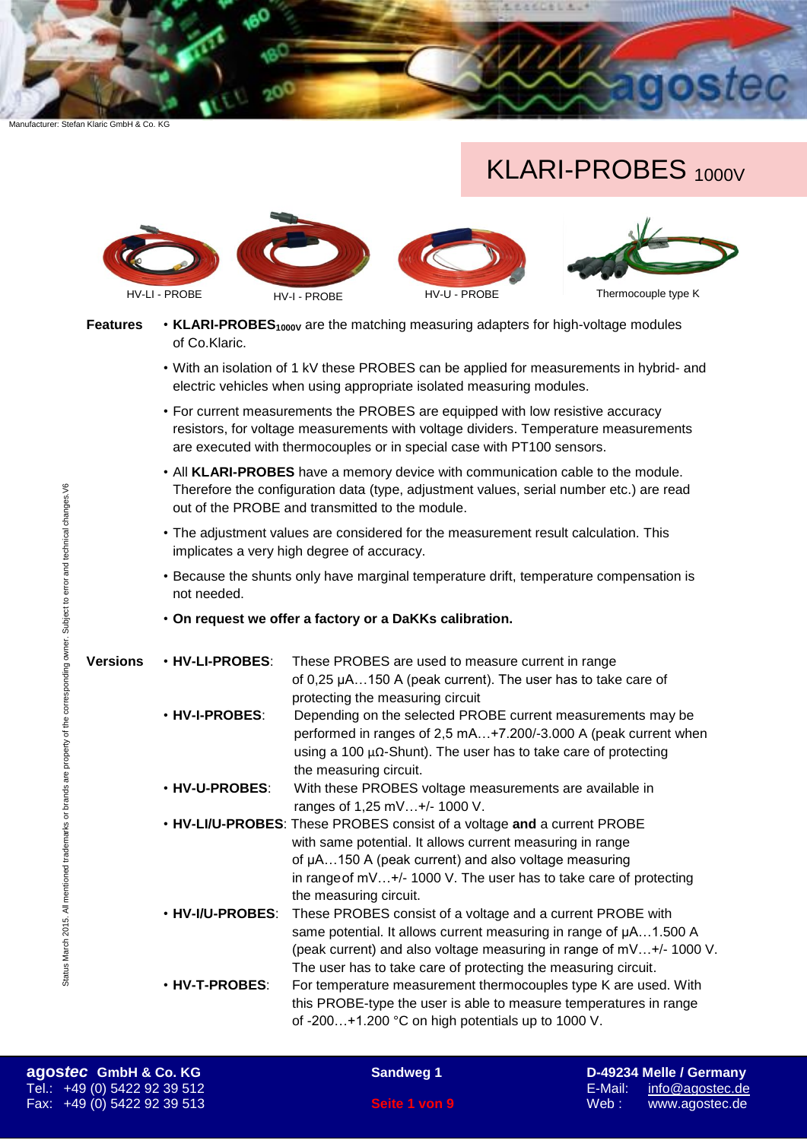# KLARI-PROBES 1000V



**Features** • **KLARI-PROBES**<sup>1000</sup>V are the matching measuring adapters for high-voltage modules of Co.Klaric.

- With an isolation of 1 kV these PROBES can be applied for measurements in hybrid- and electric vehicles when using appropriate isolated measuring modules.
- For current measurements the PROBES are equipped with low resistive accuracy resistors, for voltage measurements with voltage dividers. Temperature measurements are executed with thermocouples or in special case with PT100 sensors.
- All **KLARI-PROBES** have a memory device with communication cable to the module. Therefore the configuration data (type, adjustment values, serial number etc.) are read out of the PROBE and transmitted to the module.
- The adjustment values are considered for the measurement result calculation. This implicates a very high degree of accuracy.
- Because the shunts only have marginal temperature drift, temperature compensation is not needed.
- **On request we offer a factory or a DaKKs calibration.**

| <b>Versions</b> | . HV-LI-PROBES:        | These PROBES are used to measure current in range                        |
|-----------------|------------------------|--------------------------------------------------------------------------|
|                 |                        | of 0,25 µA150 A (peak current). The user has to take care of             |
|                 |                        | protecting the measuring circuit                                         |
|                 | <b>. HV-I-PROBES:</b>  | Depending on the selected PROBE current measurements may be              |
|                 |                        | performed in ranges of 2,5 mA+7.200/-3.000 A (peak current when          |
|                 |                        | using a 100 $\mu\Omega$ -Shunt). The user has to take care of protecting |
|                 |                        | the measuring circuit.                                                   |
|                 | <b>. HV-U-PROBES:</b>  | With these PROBES voltage measurements are available in                  |
|                 |                        | ranges of 1,25 mV+/- 1000 V.                                             |
|                 |                        | . HV-LI/U-PROBES: These PROBES consist of a voltage and a current PROBE  |
|                 |                        | with same potential. It allows current measuring in range                |
|                 |                        | of µA150 A (peak current) and also voltage measuring                     |
|                 |                        | in range of mV+/- 1000 V. The user has to take care of protecting        |
|                 |                        | the measuring circuit.                                                   |
|                 | <b>・HV-I/U-PROBES:</b> | These PROBES consist of a voltage and a current PROBE with               |
|                 |                        | same potential. It allows current measuring in range of $\mu$ A1.500 A   |
|                 |                        | (peak current) and also voltage measuring in range of mV+/-1000 V.       |
|                 |                        | The user has to take care of protecting the measuring circuit.           |
|                 | <b>· HV-T-PROBES:</b>  | For temperature measurement thermocouples type K are used. With          |
|                 |                        | this PROBE-type the user is able to measure temperatures in range        |
|                 |                        | of -200+1.200 °C on high potentials up to 1000 V.                        |

Status March 2015. All mentioned trademarks or brands are property of the corresponding owner. Subject to error and technical changes.V6

Status March 2015. All mentioned trademarks or brands are property of the corresponding owner. Subject to error and technical changes.V6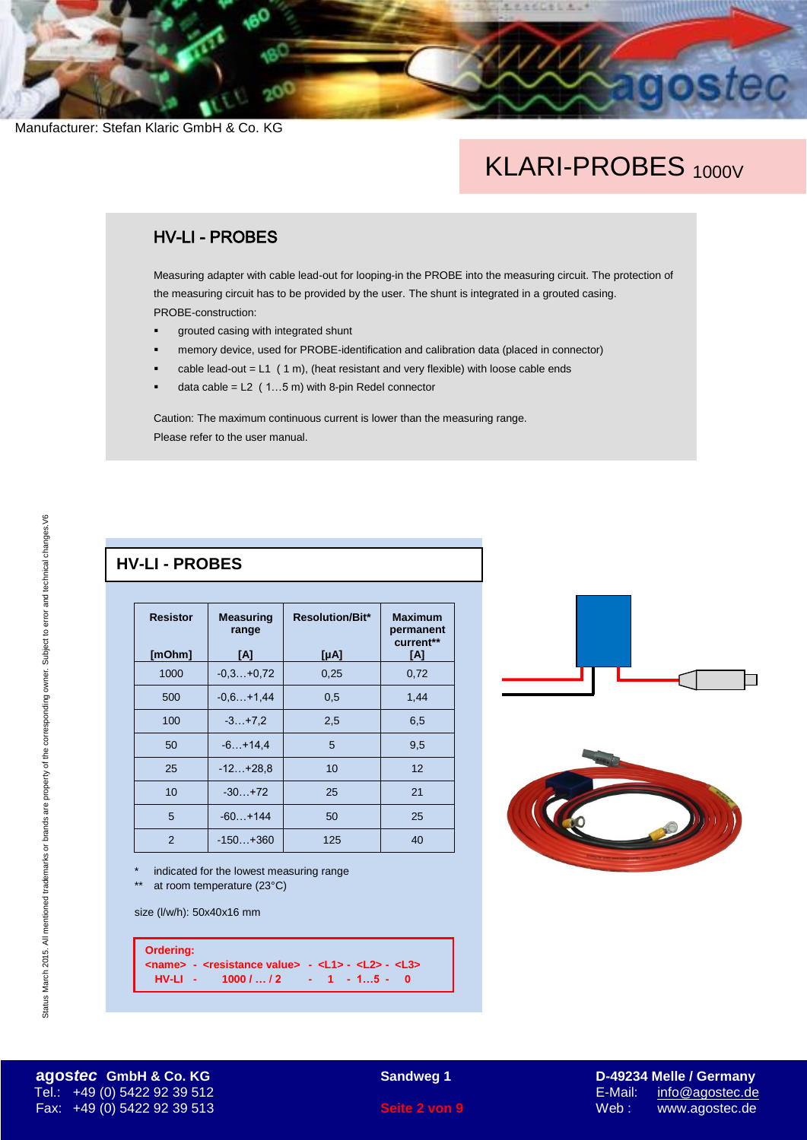## KLARI-PROBES<sub>1000V</sub>

北北北区街区

### HV-LI - PROBES

Measuring adapter with cable lead-out for looping-in the PROBE into the measuring circuit. The protection of the measuring circuit has to be provided by the user. The shunt is integrated in a grouted casing. PROBE-construction:

- grouted casing with integrated shunt
- memory device, used for PROBE-identification and calibration data (placed in connector)
- cable lead-out =  $L1$  (1 m), (heat resistant and very flexible) with loose cable ends
- data cable =  $L2$  (1...5 m) with 8-pin Redel connector

Caution: The maximum continuous current is lower than the measuring range. Please refer to the user manual.

#### **HV-LI - PROBES**

| <b>Resistor</b> | <b>Measuring</b><br>range | <b>Resolution/Bit*</b> | <b>Maximum</b><br>permanent<br>current** |
|-----------------|---------------------------|------------------------|------------------------------------------|
| [mOhm]          | [A]                       | $[\muA]$               | [A]                                      |
| 1000            | $-0.3+0.72$               | 0,25                   | 0,72                                     |
| 500             | $-0.6+1.44$               | 0,5                    | 1,44                                     |
| 100             | $-3 + 7.2$                | 2,5                    | 6,5                                      |
| 50              | $-6. +14.4$               | 5                      | 9,5                                      |
| 25              | $-12+28,8$                | 10                     | 12                                       |
| 10              | $-30.1 + 72$              | 25                     | 21                                       |
| 5               | $-60+144$                 | 50                     | 25                                       |
| 2               | $-150 + 360$              | 125                    | 40                                       |

indicated for the lowest measuring range at room temperature  $(23^{\circ}C)$ 

size (l/w/h): 50x40x16 mm

**Ordering: <name> - <resistance value> - <L1> - <L2> - <L3> HV-LI - 1000 / … / 2 - 1 - 1…5 - 0**





Status March 2015. All mentioned trademarks or brands are property of the corresponding owner. Subject to error and technical changes.V6

Status March 2015. All mentioned trademarks or brands are property of the corresponding owner. Subject to error and technical changes. V6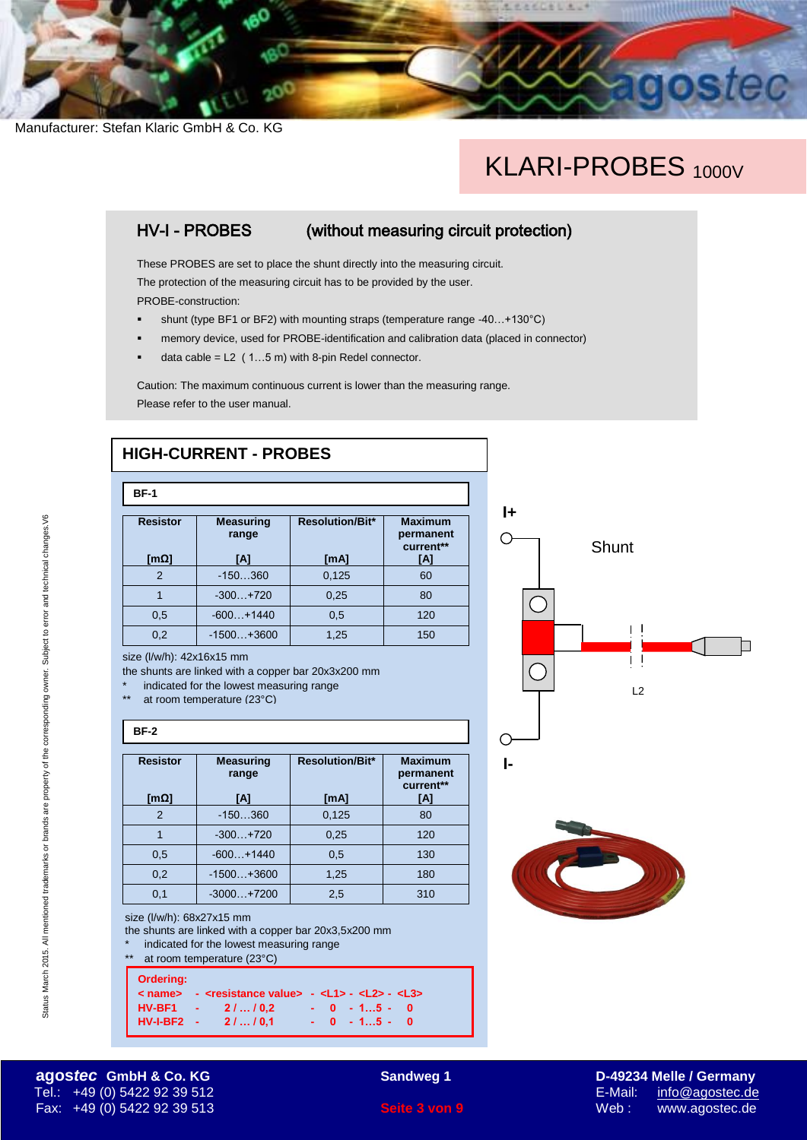# KLARI-PROBES<sub>1000V</sub>

1.226000

选

## HV-I - PROBES (without measuring circuit protection)

These PROBES are set to place the shunt directly into the measuring circuit. The protection of the measuring circuit has to be provided by the user. PROBE-construction:

- shunt (type BF1 or BF2) with mounting straps (temperature range -40...+130°C)
- memory device, used for PROBE-identification and calibration data (placed in connector)
- data cable = L2 ( 1…5 m) with 8-pin Redel connector.

Caution: The maximum continuous current is lower than the measuring range. Please refer to the user manual.

## **HIGH-CURRENT - PROBES**

| <b>BF-1</b>                      |                                  |                                |                                                 |  |
|----------------------------------|----------------------------------|--------------------------------|-------------------------------------------------|--|
| <b>Resistor</b><br>[m $\Omega$ ] | <b>Measuring</b><br>range<br>[A] | <b>Resolution/Bit*</b><br>[mA] | <b>Maximum</b><br>permanent<br>current**<br>[A] |  |
| 2                                | $-150360$                        | 0,125                          | 60                                              |  |
|                                  | $-300 + 720$                     | 0,25                           | 80                                              |  |
| 0,5                              | $-600+1440$                      | 0,5                            | 120                                             |  |
| 0,2                              | $-1500+3600$                     | 1,25                           | 150                                             |  |

size (l/w/h): 42x16x15 mm

the shunts are linked with a copper bar 20x3x200 mm

- indicated for the lowest measuring range
- at room temperature (23°C)

#### **BF-2**

| <b>Resistor</b><br>[mΩ] | <b>Measuring</b><br>range<br>[A] | <b>Resolution/Bit*</b><br>[mA] | <b>Maximum</b><br>permanent<br>current**<br>[A] |  |  |
|-------------------------|----------------------------------|--------------------------------|-------------------------------------------------|--|--|
| 2                       | $-150360$                        | 0,125                          | 80                                              |  |  |
|                         | $-300 + 720$                     | 0,25                           | 120                                             |  |  |
| 0,5                     | $-600+1440$                      | 0,5                            | 130                                             |  |  |
| 0,2                     | $-1500+3600$                     | 1,25                           | 180                                             |  |  |
| 0,1                     | $-3000 + 7200$                   | 2,5                            | 310                                             |  |  |

size (l/w/h): 68x27x15 mm

the shunts are linked with a copper bar 20x3,5x200 mm

indicated for the lowest measuring range

| **               | at room temperature (23°C) |                                                                                  |
|------------------|----------------------------|----------------------------------------------------------------------------------|
| <b>Ordering:</b> |                            | < name> - <resistance value=""> - <l1> - <l2> - <l3></l3></l2></l1></resistance> |
|                  | HV-BF1 - 2//0,2            | $-0 - 15 - 0$                                                                    |
|                  | HV-I-BF2 - 2//0,1          | $-0$ $-15$ $-0$                                                                  |





#### **agos***tec* **GmbH & Co. KG Sandweg 1 D-49234 Melle / Germany** Tel.: +49 (0) 5422 92 39 512 E-Mail: [info@agostec.de](mailto:info@agostec.de) Fax: +49 (0) 5422 92 39 513 **Seite 3 von 9** Web : www.agostec.de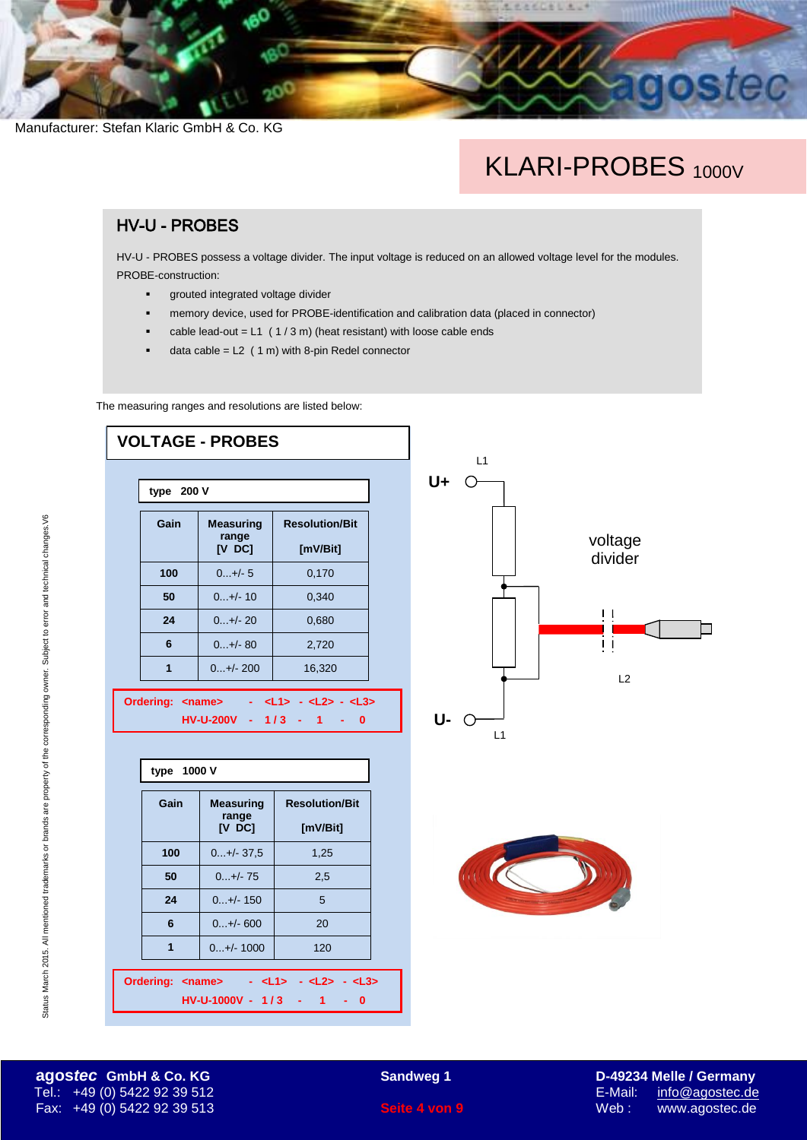# KLARI-PROBES<sub>1000V</sub>

LEACESLA.

#### HV-U - PROBES

HV-U - PROBES possess a voltage divider. The input voltage is reduced on an allowed voltage level for the modules. PROBE-construction:

- **grouted integrated voltage divider**
- memory device, used for PROBE-identification and calibration data (placed in connector)
- $\bullet$  cable lead-out = L1 (1/3 m) (heat resistant) with loose cable ends
- data cable =  $L2$  (1 m) with 8-pin Redel connector

The measuring ranges and resolutions are listed below:

**Ordering: <name> - <L1> - <L2> - <L3>**

**HV-U-1000V - 1 / 3 - 1 - 0**



**agos***tec* **GmbH & Co. KG Sandweg 1 D-49234 Melle / Germany** Tel.: +49 (0) 5422 92 39 512 E-Mail: [info@agostec.de](mailto:info@agostec.de) Fax: +49 (0) 5422 92 39 513 **Seite 4 von 9** Web : www.agostec.de

Status March 2015. All mentioned trademarks or brands are property of the corresponding owner. Subject to error and technical changes. V6 Status March 2015. All mentioned trademarks or brands are property of the corresponding owner. Subject to error and technical changes.V6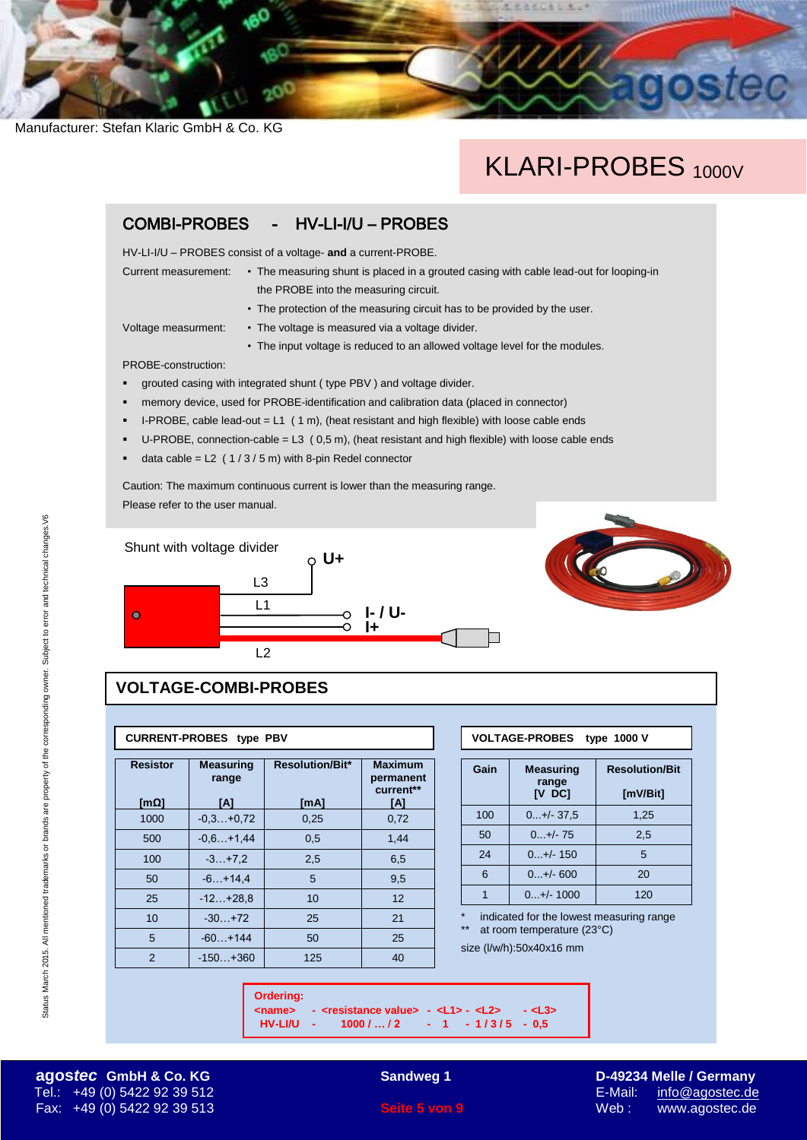## KLARI-PROBES 1000V

光光光闪亮儿

### COMBI-PROBES - HV-LI-I/U – PROBES

HV-LI-I/U – PROBES consist of a voltage- **and** a current-PROBE.

- Current measurement: The measuring shunt is placed in a grouted casing with cable lead-out for looping-in the PROBE into the measuring circuit.
	- The protection of the measuring circuit has to be provided by the user.
- Voltage measurment: The voltage is measured via a voltage divider.
	- The input voltage is reduced to an allowed voltage level for the modules.

PROBE-construction:

- grouted casing with integrated shunt ( type PBV ) and voltage divider.
- memory device, used for PROBE-identification and calibration data (placed in connector)
- I-PROBE, cable lead-out = L1 ( 1 m), (heat resistant and high flexible) with loose cable ends
- U-PROBE, connection-cable =  $L3$  (0,5 m), (heat resistant and high flexible) with loose cable ends
- data cable =  $L2$  (1/3/5 m) with 8-pin Redel connector

Caution: The maximum continuous current is lower than the measuring range. Please refer to the user manual.





### **VOLTAGE-COMBI-PROBES**

#### **CURRENT-PROBES type PBV**

| <b>Resistor</b><br>[m $\Omega$ ] | <b>Measuring</b><br>range<br>ΙAΙ | <b>Resolution/Bit*</b><br>[MA] | <b>Maximum</b><br>permanent<br>current**<br>ΙAΙ |  |
|----------------------------------|----------------------------------|--------------------------------|-------------------------------------------------|--|
|                                  |                                  |                                |                                                 |  |
| 1000                             | $-0.3+0.72$                      | 0,25                           | 0,72                                            |  |
| 500                              | $-0.6+1.44$                      | 0,5                            | 1,44                                            |  |
| 100                              | $-3. +7.2$                       | 2,5                            | 6,5                                             |  |
| 50                               | $-6. +14.4$                      | 5                              | 9,5                                             |  |
| 25                               | $-12+28.8$                       | 10                             | 12                                              |  |
| 10                               | $-30.1 + 72$                     | 25                             | 21                                              |  |
| 5                                | $-60 + 144$                      | 50                             | 25                                              |  |
| 2                                | $-150 + 360$                     | 125                            | 40                                              |  |

| VOLTAGE-PROBES type 1000 V |  |
|----------------------------|--|
|                            |  |
|                            |  |

| Gain | <b>Measuring</b><br>range<br><b>IV DC1</b> | <b>Resolution/Bit</b><br>[mV/Bit] |  |
|------|--------------------------------------------|-----------------------------------|--|
| 100  | $0+/-37.5$                                 | 1,25                              |  |
| 50   | $0+/-75$                                   | 2,5                               |  |
| 24   | $0+/- 150$                                 | 5                                 |  |
| 6    | $0+/- 600$                                 | 20                                |  |
|      | $0+/- 1000$                                | 120                               |  |

indicated for the lowest measuring range at room temperature (23°C)

size (l/w/h):50x40x16 mm

**Ordering: <name> - <resistance value> - <L1> - <L2> - <L3>**

**HV-LI/U - 1000 / … / 2 - 1 - 1 / 3 / 5 - 0,5**

Status March 2015. All mentioned trademarks or brands are property of the corresponding owner. Subject to error and technical changes.V6

Status March 2015. All mentioned trademarks or brands are property of the corresponding owner. Subject to error and technical changes. V6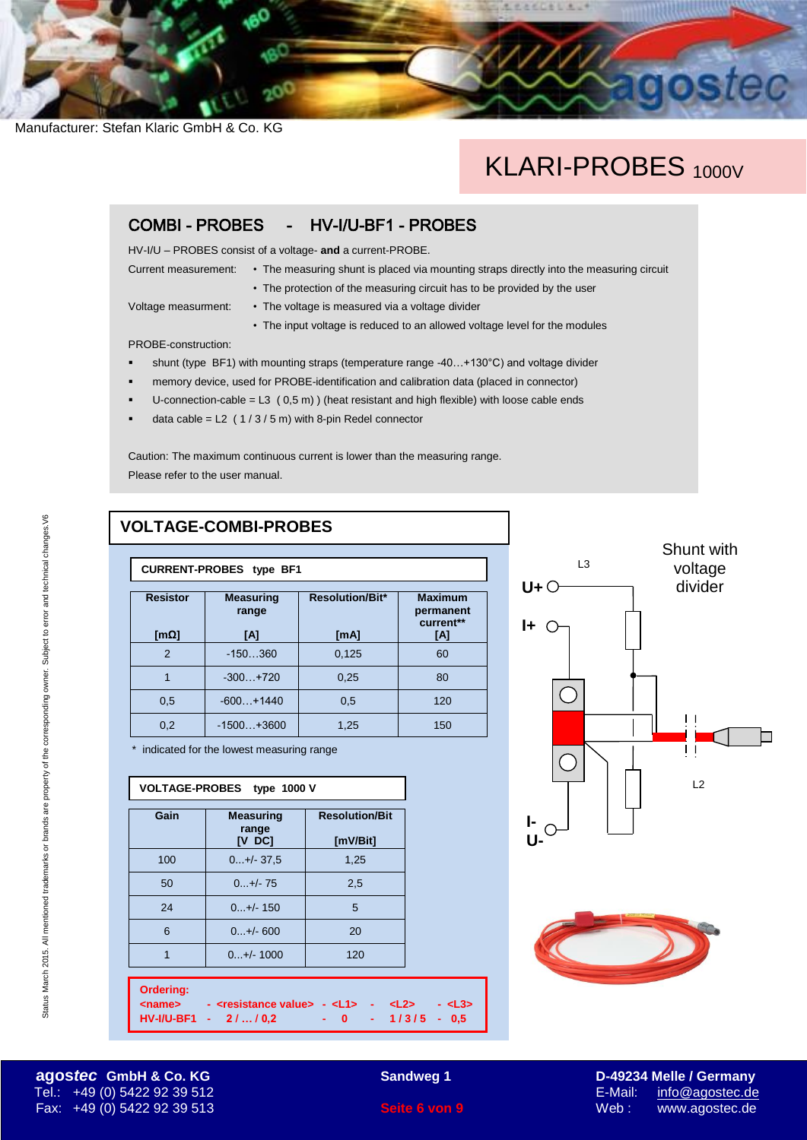## KLARI-PROBES<sub>1000V</sub>

お式口を

### COMBI - PROBES - HV-I/U-BF1 - PROBES

HV-I/U – PROBES consist of a voltage- **and** a current-PROBE.

- Current measurement: The measuring shunt is placed via mounting straps directly into the measuring circuit
	- The protection of the measuring circuit has to be provided by the user

Voltage measurment: • The voltage is measured via a voltage divider

• The input voltage is reduced to an allowed voltage level for the modules

PROBE-construction:

- shunt (type BF1) with mounting straps (temperature range -40…+130°C) and voltage divider
- memory device, used for PROBE-identification and calibration data (placed in connector)
- U-connection-cable =  $L3$  (0,5 m)) (heat resistant and high flexible) with loose cable ends
- data cable =  $L2$  (1/3/5 m) with 8-pin Redel connector

Caution: The maximum continuous current is lower than the measuring range. Please refer to the user manual.

### **VOLTAGE-COMBI-PROBES**

| <b>Resistor</b><br>[ $mΩ$ ] | <b>Measuring</b><br>range<br>[A] | <b>Resolution/Bit*</b><br>[mA] | <b>Maximum</b><br>permanent<br>current**<br>[A] |  |
|-----------------------------|----------------------------------|--------------------------------|-------------------------------------------------|--|
| $\mathfrak{p}$              | $-150360$                        | 0,125                          | 60                                              |  |
|                             | $-300+720$                       | 0,25                           | 80                                              |  |
| 0,5                         | $-600+1440$                      | 0,5                            | 120                                             |  |
| 0,2                         | $-1500+3600$                     | 1,25                           | 150                                             |  |
|                             |                                  |                                |                                                 |  |

\* indicated for the lowest measuring range

| VOLTAGE-PROBES type 1000 V                                                                                                                                                                                     |                                            |                                   |  |  |
|----------------------------------------------------------------------------------------------------------------------------------------------------------------------------------------------------------------|--------------------------------------------|-----------------------------------|--|--|
| Gain                                                                                                                                                                                                           | <b>Measuring</b><br>range<br><b>IV DCI</b> | <b>Resolution/Bit</b><br>[mV/Bit] |  |  |
| 100                                                                                                                                                                                                            | $0+/-37.5$                                 | 1,25                              |  |  |
| 50                                                                                                                                                                                                             | $0+/-75$                                   | 2,5                               |  |  |
| 24                                                                                                                                                                                                             | $0+/- 150$                                 | 5                                 |  |  |
| 6                                                                                                                                                                                                              | $0+/- 600$                                 | 20                                |  |  |
| $\overline{1}$                                                                                                                                                                                                 | $0+/- 1000$                                | 120                               |  |  |
| Ordering:<br>- <resistance value=""> - <l1> - <l2><br/><math>13</math><br/><name><br/><math>HV-I/U-BF1 - 2110,2</math><br/><math>-0</math> <math>-1/3/5</math> <math>-0.5</math></name></l2></l1></resistance> |                                            |                                   |  |  |





**agos***tec* **GmbH & Co. KG Sandweg 1 D-49234 Melle / Germany** Tel.: +49 (0) 5422 92 39 512 E-Mail: [info@agostec.de](mailto:info@agostec.de) Fax: +49 (0) 5422 92 39 513 **Seite 6 von 9** Web : www.agostec.de

Status March 2015. All mentioned trademarks or brands are property of the corresponding owner. Subject to error and technical changes.V6

Status March 2015. All mentioned trademarks or brands are property of the corresponding owner. Subject to error and technical changes. V6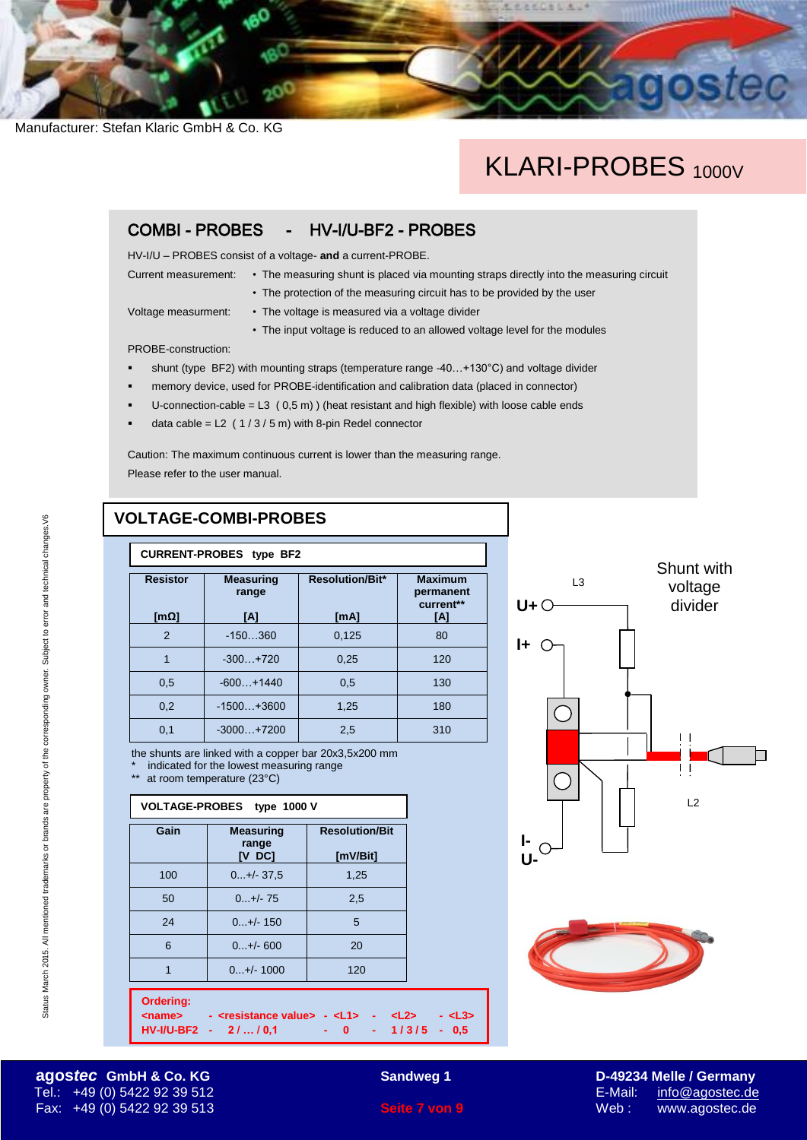## KLARI-PROBES<sub>1000V</sub>

おもじを

### COMBI - PROBES - HV-I/U-BF2 - PROBES

HV-I/U – PROBES consist of a voltage- **and** a current-PROBE.

- Current measurement: The measuring shunt is placed via mounting straps directly into the measuring circuit
	- The protection of the measuring circuit has to be provided by the user

Voltage measurment: • The voltage is measured via a voltage divider

• The input voltage is reduced to an allowed voltage level for the modules

PROBE-construction:

- shunt (type BF2) with mounting straps (temperature range -40...+130°C) and voltage divider
- memory device, used for PROBE-identification and calibration data (placed in connector)
- U-connection-cable =  $L3$  (0,5 m)) (heat resistant and high flexible) with loose cable ends
- data cable =  $L2$  (1/3/5 m) with 8-pin Redel connector

Caution: The maximum continuous current is lower than the measuring range. Please refer to the user manual.

### **VOLTAGE-COMBI-PROBES**

| <b>CURRENT-PROBES type BF2</b>   |                                  |                                |                                                 |
|----------------------------------|----------------------------------|--------------------------------|-------------------------------------------------|
| <b>Resistor</b><br>[m $\Omega$ ] | <b>Measuring</b><br>range<br>ΙAΙ | <b>Resolution/Bit*</b><br>[mA] | <b>Maximum</b><br>permanent<br>current**<br>[A] |
| $\overline{2}$                   | $-150360$                        | 0,125                          | 80                                              |
| 1                                | $-300 + 720$                     | 0,25                           | 120                                             |
| 0.5                              | $-600+1440$                      | 0.5                            | 130                                             |
| 0,2                              | $-1500+3600$                     | 1,25                           | 180                                             |
| 0,1                              | $-3000+7200$                     | 2,5                            | 310                                             |

the shunts are linked with a copper bar 20x3,5x200 mm

indicated for the lowest measuring range

\*\* at room temperature (23°C)

| VOLTAGE-PROBES type 1000 V        |                                          |                                                                                                        |                                           |
|-----------------------------------|------------------------------------------|--------------------------------------------------------------------------------------------------------|-------------------------------------------|
| Gain                              | <b>Measuring</b><br>range<br>$[V$ DC $]$ | <b>Resolution/Bit</b><br>[mV/Bit]                                                                      |                                           |
| 100                               | $0+/- 37.5$                              | 1,25                                                                                                   |                                           |
| 50                                | $0+/-75$                                 | 2,5                                                                                                    |                                           |
| 24                                | $0+/- 150$                               | 5                                                                                                      |                                           |
| 6                                 | $0+/- 600$                               | 20                                                                                                     |                                           |
| $\overline{1}$                    | $0+/- 1000$                              | 120                                                                                                    |                                           |
| <b>Ordering:</b><br><name></name> | HV-I/U-BF2 - 2//0,1                      | - <resistance value=""> - <l1> - <l2><br/><math>\sim</math> <math>\sim</math> 0</l2></l1></resistance> | - <l3><br/><math>-1/3/5 - 0.5</math></l3> |

**<Name> - <Widerstandswert> - <L1> - <L2> - <L3>**





**agos***tec* GmbH & Co. KG **Sandweg 1 D-49234 Melle / Germany** Tel.: +49 (0) 5422 92 39 512 E-Mail: [info@agostec.de](mailto:info@agostec.de) Fax: +49 (0) 5422 92 39 513 **Seite 7 von 9** Web : www.agostec.de

Status March 2015. All mentioned trademarks or brands are property of the corresponding owner. Subject to error and technical changes.V6

Status March 2015. All mentioned trademarks or brands are property of the corresponding owner. Subject to error and technical changes. V6

**Sandweg 1**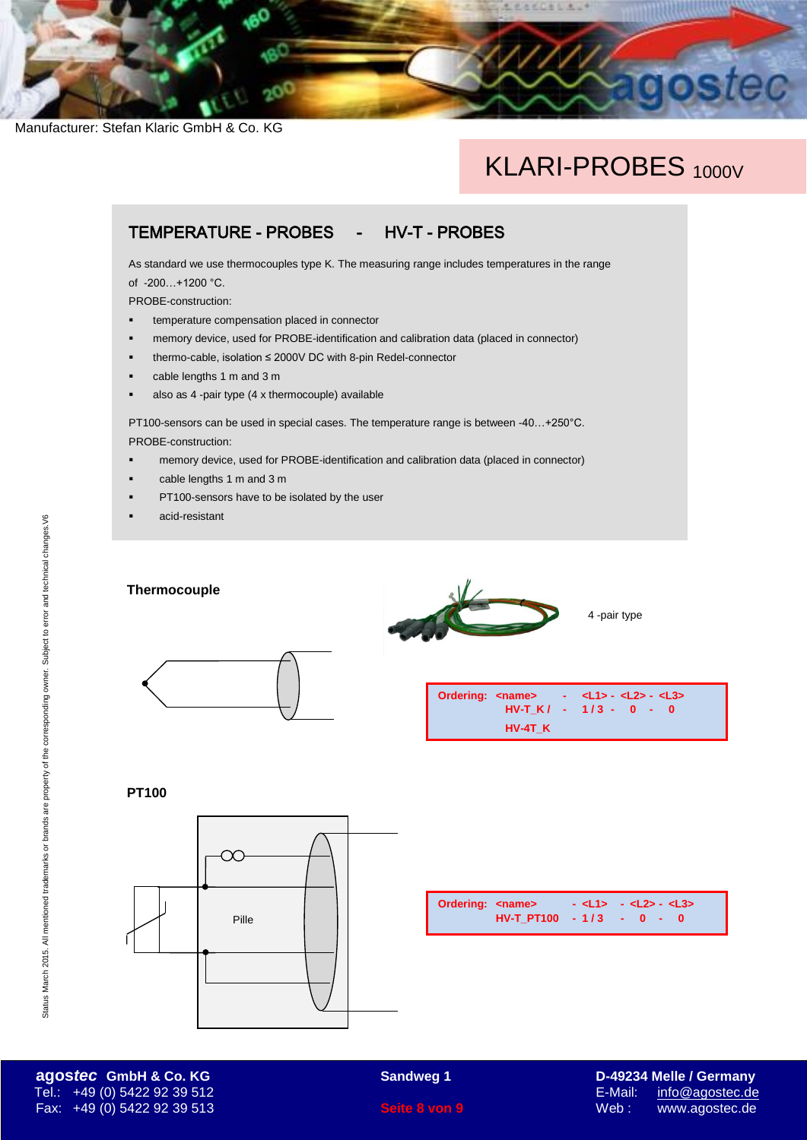## KLARI-PROBES<sub>1000V</sub>

LESCESLA.

## TEMPERATURE - PROBES - HV-T - PROBES

As standard we use thermocouples type K. The measuring range includes temperatures in the range of -200…+1200 °C.

PROBE-construction:

- temperature compensation placed in connector
- memory device, used for PROBE-identification and calibration data (placed in connector)
- thermo-cable, isolation ≤ 2000V DC with 8-pin Redel-connector
- cable lengths 1 m and 3 m
- also as 4 -pair type (4 x thermocouple) available

PT100-sensors can be used in special cases. The temperature range is between -40…+250°C. PROBE-construction:

- memory device, used for PROBE-identification and calibration data (placed in connector)
- cable lengths 1 m and 3 m
- PT100-sensors have to be isolated by the user
- acid-resistant

**Thermocouple**



4 -pair type





**PT100**



| <b>Ordering: <name></name></b> |                            | - <l1> - <l2>- <l3></l3></l2></l1> |  |  |  |
|--------------------------------|----------------------------|------------------------------------|--|--|--|
|                                | $HV-T PT100 - 1/3 - 0 - 0$ |                                    |  |  |  |

**agos***tec* **GmbH & Co. KG Sandweg 1 D-49234 Melle / Germany** Tel.: +49 (0) 5422 92 39 512 E-Mail: [info@agostec.de](mailto:info@agostec.de) Fax: +49 (0) 5422 92 39 513 **Seite 8 von 9** Web : www.agostec.de